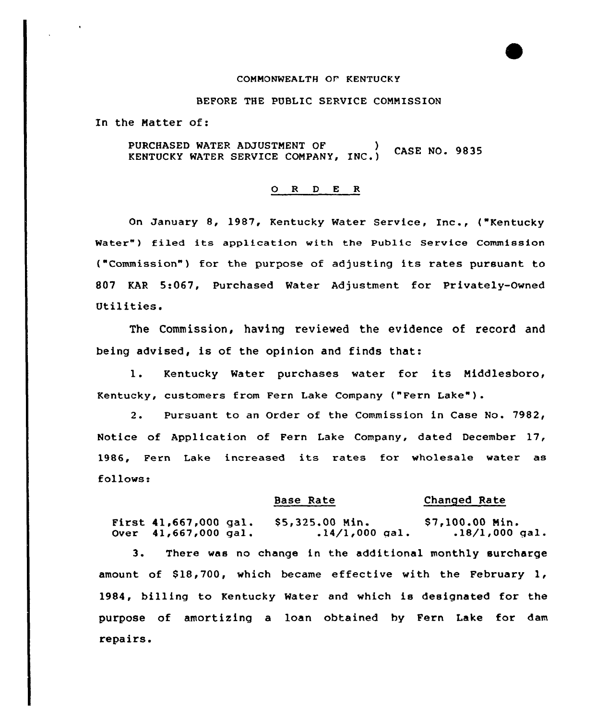# COMMONWEALTH OF KENTUCKY

# BEFORE THE PUBLIC SERVICE COMMISSION

In the Matter of:

PURCHASED WATER ADJUSTMENT OF (CASE NO. 9835

#### 0 <sup>R</sup> <sup>D</sup> E R

On January 8, 1987, Kentucky Water Service, Inc., ("Kentucky Water") filed its application with the Public Service Commission ("Commission") for the purpose of adjusting its rates pursuant to 807 KAR 5:067, Purchased Water Adjustment for Privately-Owned Utilities.

The Commission, having reviewed the evidence of record and being advised, is of the opinion and finds that:

1. Kentucky Water purchases water for its Middlesboro, Kentucky, customers from Fern Lake Company ("Fern Lake" ).

2. Pursuant to an Order of the Commission in Case No. 7982, Notice of Application of Fern Lake Company, dated December 17, 1986, Fern Lake increased its rates for wholesale water as follows:

## Base Rate Changed Rate

First 41,667,000 gal. Over 41,667,000 gal . \$5,325.00 Min. \$7,100.00 Min.<br>14/1,000 gal. .18/1,000 gal.

3. There was no change in the additional monthly surcharge amount of  $$18,700$ , which became effective with the February 1, 1984, billing to Kentucky Water and which is designated for the purpose of amortizing a loan obtained by Fern Lake for dam repairs.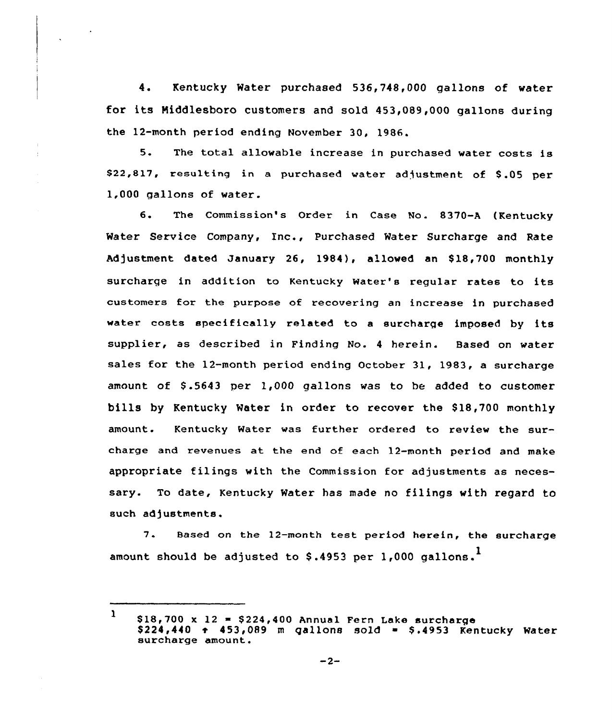4. Kentucky Water purchased 536,748,000 gallons of water for its Niddlesboro customers and sold 453,089,000 gallons during the 12-month period ending November 30, 1986.

5. The total allowable increase in purchased water costs is \$22,817, resulting in a purchased water adjustment of \$.05 per 1,000 gallons of water.

6. The Commission's Order in Case No. 8370-A (Kentucky Water Service Company, Xnc., Purchased Water Surcharge and Rate Adjustment dated January 26, 1984), allowed an \$18,700 monthly surcharge in addition to Kentucky Water's regular rates to its customers for the purpose of recovering an increase in purchased water costs specifically related to <sup>a</sup> surcharge imposed by its supplier, as described in Finding No. <sup>4</sup> herein. Based on water sales for the 12-month period ending October 31, 1983, a surcharge amount of  $$.5643$  per  $1,000$  gallons was to be added to customer bills by Kentucky Water in order to recover the \$18,700 monthly amount. Kentucky Water was further ordered to review the surcharge and revenues at the end of each 12-month period and make appropriate filings with the Commission for adjustments as necessary. To date, Kentucky Water has made no filings with regard to such adjustments.

7. Based on the 12-month test period herein, the surcharge amount should be adjusted to \$.4953 per 1,000 gallons.<sup>1</sup>

<sup>1</sup>  $$18,700 \times 12 = $224,400$  Annual Fern Lake surcharge  $$224,440$  + 453,089 m gallons sold = \$.4953 Kentucky Water surcharge amount.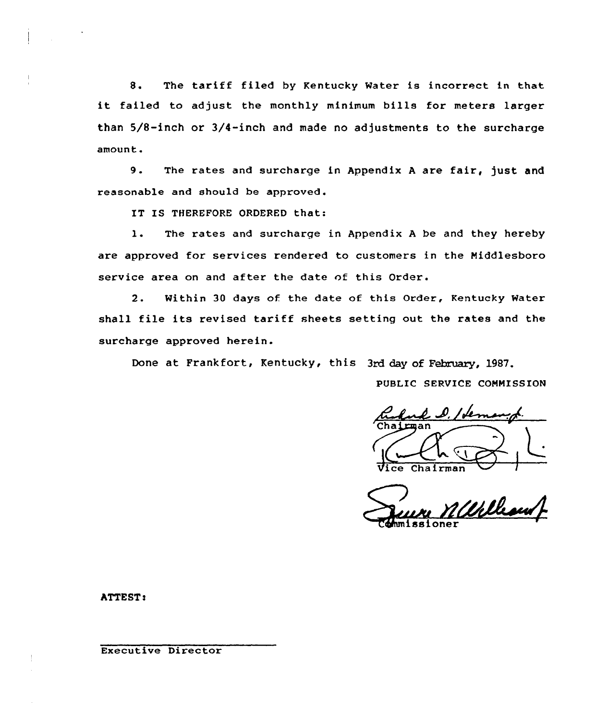8. The tariff filed by Kentucky Water is incorrect in that it failed to adjust the monthly minimum bills for meters larger than 5/8-inch or 3/4-inch and made no adjustments to the surcharge amount.

9. The rates and surcharge in Appendix A are fair, just and reasonable and should be approved.

IT IS THEREFORE ORDERED that:

l. The rates and surcharge in Appendix <sup>A</sup> be and they hereby are approved for services rendered to customers in the Middlesboro service area on and after the date of this Order.

2. Within 30 days of. the date of this Order, Kentucky Water shall file its revised tariff sheets setting out the rates and the surcharge approved herein.

Done at Frankfort, Kentucky, this 3rd day of February, 1987.

PU8LIC SERVICE COMMISSION

 $\mathcal{L}$   $\mathcal{L}$ / Le hairman:  $Chalrman$ I

William oner

ATTEST <sup>s</sup>

Executive Director